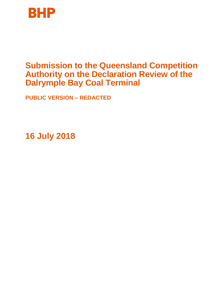

# **Submission to the Queensland Competition Authority on the Declaration Review of the Dalrymple Bay Coal Terminal**

**PUBLIC VERSION – REDACTED**

**16 July 2018**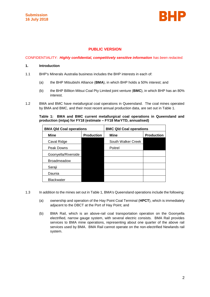

# **PUBLIC VERSION**

#### CONFIDENTIALITY: *Highly confidential, competitively sensitive information has been redacted.*

## **1. Introduction**

- 1.1 BHP's Minerals Australia business includes the BHP interests in each of:
	- (a) the BHP Mitsubishi Alliance (**BMA**), in which BHP holds a 50% interest; and
	- (b) the BHP Billiton Mitsui Coal Pty Limited joint venture (**BMC**), in which BHP has an 80% interest.
- 1.2 BMA and BMC have metallurgical coal operations in Queensland. The coal mines operated by BMA and BMC, and their most recent annual production data, are set out in Table 1.

**Table 1: BMA and BMC current metallurgical coal operations in Queensland and production (mtpa) for FY18 (estimate – FY18 MarYTD, annualised)**

| <b>BMA Qld Coal operations</b> |                   | <b>BMC Qld Coal operations</b> |                   |  |  |
|--------------------------------|-------------------|--------------------------------|-------------------|--|--|
| <b>Mine</b>                    | <b>Production</b> | <b>Mine</b>                    | <b>Production</b> |  |  |
| Caval Ridge                    |                   | South Walker Creek             |                   |  |  |
| Peak Downs                     |                   | Poitrel                        |                   |  |  |
| Goonyella/Riverside            |                   |                                |                   |  |  |
| <b>Broadmeadow</b>             |                   |                                |                   |  |  |
| Saraji                         |                   |                                |                   |  |  |
| Daunia                         |                   |                                |                   |  |  |
| <b>Blackwater</b>              |                   |                                |                   |  |  |

- 1.3 In addition to the mines set out in Table 1, BMA's Queensland operations include the following:
	- (a) ownership and operation of the Hay Point Coal Terminal (**HPCT**), which is immediately adjacent to the DBCT at the Port of Hay Point; and
	- (b) BMA Rail, which is an above-rail coal transportation operation on the Goonyella electrified, narrow gauge system, with several electric consists. BMA Rail provides services to BMA mine operations, representing about one quarter of the above rail services used by BMA. BMA Rail cannot operate on the non-electrified Newlands rail system.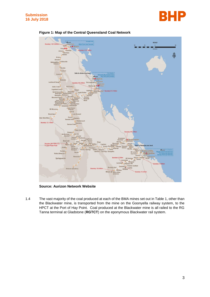





**Figure 1: Map of the Central Queensland Coal Network**

**Source: Aurizon Network Website**

1.4 The vast majority of the coal produced at each of the BMA mines set out in Table 1, other than the Blackwater mine, is transported from the mine on the Goonyella railway system, to the HPCT at the Port of Hay Point. Coal produced at the Blackwater mine is all railed to the RG Tanna terminal at Gladstone (**RGTCT**) on the eponymous Blackwater rail system.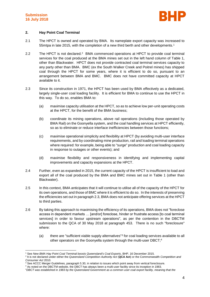

# **2. Hay Point Coal Terminal**

- 2.1 The HPCT is owned and operated by BMA. Its nameplate export capacity was increased to 55mtpa in late 2015, with the completion of a new third berth and other developments.<sup>1</sup>
- 2.2 The HPCT is not declared.<sup>2</sup> BMA commenced operations at HPCT to provide coal terminal services for the coal produced at the BMA mines set out in the left hand column of Table 1, other than Blackwater. HPCT does not provide contracted coal terminal services capacity to any party other than BMA. BMC (ex the South Walker Creek and Poitrel mines) has shipped coal through the HPCT for some years, where it is efficient to do so, pursuant to an arrangement between BMA and BMC. BMC does not have committed capacity at HPCT available to it.
- 2.3 Since its construction in 1971, the HPCT has been used by BMA effectively as a dedicated, largely single-user coal loading facility. It is efficient for BMA to continue to use the HPCT in this way. To do so, enables BMA to:
	- (a) maximise capacity utilisation at the HPCT, so as to achieve low per-unit operating costs at the HPCT, for the benefit of the BMA business;
	- (b) coordinate its mining operations, above rail operations (including those operated by BMA Rail) on the Goonyella system, and the coal handling services at HPCT efficiently, so as to eliminate or reduce interface inefficiencies between those functions;
	- (c) maximise operational simplicity and flexibility at HPCT (by avoiding multi-user interface requirements, and by coordinating mine production, rail and loading terminal operations where required: for example, being able to "surge" production and coal loading capacity in response to outages or other events); and
	- (d) maximise flexibility and responsiveness in identifying and implementing capital improvements and capacity expansions at the HPCT.
- 2.4 Further, even as expanded in 2015, the current capacity of the HPCT is insufficient to load and export all of the coal produced by the BMA and BMC mines set out in Table 1 (other than Blackwater).
- 2.5 In this context, BMA anticipates that it will continue to utilise all of the capacity of the HPCT for its own operations, and those of BMC where it is efficient to do so. In the interests of preserving the efficiencies set out in paragraph 2.3, BMA does not anticipate offering services at the HPCT to third parties.
- 2.6 By taking this approach to maximising the efficiency of its operations, BMA does not "foreclose access in dependent markets … [and/or] foreclose, hinder or frustrate access [to coal terminal services] in order to favour upstream operations", as per the contention in the DBCTM submission to the QCA of 30 May 2018 at paragraph 453. There is no such "foreclosure" where:
	- (a) there are "sufficient viable supply alternatives"<sup>3</sup> for coal loading services available to all other operators on the Goonyella system through the multi-user DBCT;<sup>4</sup>

<sup>-</sup><sup>1</sup> See *New BMA Hay Point Coal Terminal boosts Queensland's Coal Exports*, BHP, 16 December 2015.

<sup>2</sup> It is not declared under either the *Queensland Competition Authority Act* (**QCA Act**) or the Commonwealth *Competition and Consumer Act* 2010.

<sup>&</sup>lt;sup>3</sup> See ACCC Merger Guidelines, paragraph 5.30, in relation to issues which point away from vertical foreclosure.

<sup>4</sup> As noted on the DBCTM website, the DBCT has always been a multi-user facility since its inception in 1983.

<sup>&</sup>quot;*DBCT was established in 1983 by the Queensland Government as a common user coal export facility, meaning that the*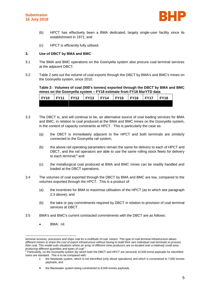

- (b) HPCT has effectively been a BMA dedicated, largely single-user facility since its establishment in 1971; and
- (c) HPCT is efficiently fully utilised.

# **3. Use of DBCT by BMA and BMC**

- 3.1 The BMA and BMC operations on the Goonyella system also procure coal terminal services at the adjacent DBCT.
- 3.2 Table 2 sets out the volume of coal exports through the DBCT by BMA's and BMC's mines on the Goonyella system, since 2010.

# **Table 2: Volumes of coal (000's tonnes) exported through the DBCT by BMA and BMC mines on the Goonyella system – FY18 estimate from FY18 MarYTD data**

| <b>FY10</b> | <b>FY11</b> | FY12 | <b>FY13</b> | $\overline{\phantom{0}}$ FY14 | FY15 | FY16 | FY17 | <b>FY18</b> |
|-------------|-------------|------|-------------|-------------------------------|------|------|------|-------------|
|             |             |      |             |                               |      |      |      |             |

- 3.3 The DBCT is, and will continue to be, an alternative source of coal loading services for BMA and BMC, in relation to coal produced at the BMA and BMC mines on the Goonyella system, in the context of capacity constraints at HPCT. This is particularly the case as:
	- (a) the DBCT is immediately adjacent to the HPCT and both terminals are similarly connected to the Goonyella rail system;
	- (b) the above rail operating parameters remain the same for delivery to each of HPCT and DBCT, and the rail operators are able to use the same rolling stock fleets for delivery to each terminal;<sup>5</sup> and
	- (c) the metallurgical coal produced at BMA and BMC mines can be readily handled and loaded at the DBCT operations.
- 3.4 The volumes of coal exported through the DBCT by BMA and BMC are low, compared to the volumes exported through the HPCT. This is a product of:
	- (a) the incentives for BMA to maximise utilisation of the HPCT (as to which see paragraph 2.3 above); and
	- (b) the take or pay commitments required by DBCT in relation to provision of coal terminal services at DBCT.
- 3.5 BMA's and BMC's current contracted commitments with the DBCT are as follows:
	- BMA: nil.

-

 the Newlands system, which is not electrified (only diesel operations) and which is constrained to 7,000 tonnes payloads; and

*terminal receives, processes and ships coal for a multitude of coal miners. This type of coal terminal infrastructure allows different miners to share the cost of export infrastructure without having to build their own individual coal terminals to process their coal. This model suits situations where an array of different mine producers are co-located over a relatively small area, producing different quantities and types of coal.*"

<sup>&</sup>lt;sup>5</sup> Particularly, on the Goonyella system (by which both the DBCT and HPCT are serviced) 10,500 tonne payloads for electrified trains are standard. This is to be compared with:

the Blackwater system being constrained to 8,500 tonnes payloads.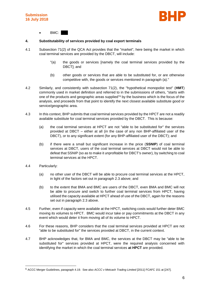

BMC:

# **4. Substitutability of services provided by coal export terminals**

- 4.1 Subsection 71(2) of the QCA Act provides that the "market", here being the market in which coal terminal services are provided by the DBCT, will include:
	- "(a) the goods or services [namely the coal terminal services provided by the DBCT]; and
	- (b) other goods or services that are able to be substituted for, or are otherwise competitive with, the goods or services mentioned in paragraph (a)."
- 4.2 Similarly, and consistently with subsection 71(2), the "hypothetical monopolist test" (**HMT**) commonly used in market definition and referred to in the submissions of others, "starts with one of the products and geographic areas supplied"<sup>6</sup> by the business which is the focus of the analysis, and proceeds from that point to identify the next closest available substitute good or service/geographic area.
- 4.3 In this context, BHP submits that coal terminal services provided by the HPCT are not a readily available substitute for coal terminal services provided by the DBCT. This is because:
	- (a) the coal terminal services at HPCT are not "able to be substituted for" the services provided at DBCT – either at all (in the case of any non BHP-affiliated user of the DBCT), or to any significant extent (for any BHP-affiliated user of the DBCT); and
	- (b) if there were a small but significant increase in the price (**SSNIP**) of coal terminal services at DBCT, users of the coal terminal services at DBCT would not be able to defeat that SSNIP (so as to make it unprofitable for DBCT's owner), by switching to coal terminal services at the HPCT.
- 4.4 Particularly:

-

- (a) no other user of the DBCT will be able to procure coal terminal services at the HPCT, in light of the factors set out in paragraph 2.3 above; and
- (b) to the extent that BMA and BMC are users of the DBCT, even BMA and BMC will not be able to procure and switch to further coal terminal services from HPCT, having utilised the capacity available at HPCT ahead of use of the DBCT, again for the reasons set out in paragraph 2.3 above.
- 4.5 Further, even if capacity were available at the HPCT, switching costs would further deter BMC moving its volumes to HPCT. BMC would incur take or pay commitments at the DBCT in any event which would deter it from moving all of its volume to HPCT.
- 4.6 For these reasons, BHP considers that the coal terminal services provided at HPCT are not "able to be substituted for" the services provided at DBCT, in the current context.
- 4.7 BHP acknowledges that, for BMA and BMC, the services at the DBCT may be "able to be substituted for" services provided at HPCT, were the required analysis concerned with identifying the market in which the coal terminal services **at HPCT** are provided.

<sup>6</sup> ACCC Merger Guidelines, paragraph 4.19. See also *ACCC v Metcash Trading Limited* [2011] FCAFC 151 at [247].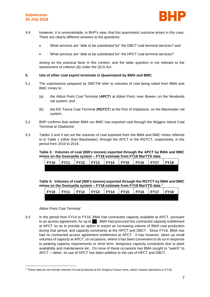

- 4.8 However, it is unremarkable, in BHP's view, that this asymmetric outcome arises in this case. There are clearly different answers to the questions:
	- What services are "able to be substituted for" the DBCT coal terminal services? and
	- What services are "able to be substituted for" the HPCT coal terminal services?

arising on the practical facts in this context, and the latter question is not relevant to the assessment of criterion (b) under the QCA Act.

#### **5. Use of other coal export terminals in Queensland by BMA and BMC**

- 5.1 The submissions prepared by DBCTM refer to volumes of coal being railed from BMA and BMC mines to:
	- (a) the Abbot Point Coal Terminal (**APCT**) at Abbot Point, near Bowen, on the Newlands rail system; and
	- (b) the RG Tanna Coal Terminal (**RGTCT**) at the Port of Gladstone, on the Blackwater rail system.
- 5.2 BHP confirms that neither BMA nor BMC has exported coal through the Wiggins Island Coal Terminal at Gladstone.
- 5.3 Tables 3 and 4 set out the volumes of coal exported from the BMA and BMC mines referred to in Table 1 (other than Blackwater), through the APCT or the RGTCT, respectively, in the period from 2010 to 2018.

**Table 3: Volumes of coal (000's tonnes) exported through the APCT by BMA and BMC mines on the Goonyella system – FY18 estimate from FY18 MarYTD data**

| $\overline{F}$ FY10 | <b>FY11</b> | FY12 | $\overline{Y}$ FY13 FY14 | $\sqrt{5}$ FY15 FY16 | $\overline{FY17}$ | <b>FY18</b> |
|---------------------|-------------|------|--------------------------|----------------------|-------------------|-------------|
|                     |             |      |                          |                      |                   |             |

**Table 4: Volumes of coal (000's tonnes) exported through the RGTCT by BMA and BMC mines on the Goonyella system – FY18 estimate from FY18 MarYTD data <sup>7</sup>**

| <b>FY10</b> | <b>FY11</b> | FY12 | $ $ FY13 | FY14 | <b>FY15</b> | FY16 | FY17 | <b>FY18</b> |
|-------------|-------------|------|----------|------|-------------|------|------|-------------|
|             |             |      |          |      |             |      |      |             |

#### *Abbot Point Coal Terminal*

-

5.4 In the period from FY14 to FY16, BMA had contracted capacity available at APCT, pursuant to an access agreement, for up to ... BMA had procured this contracted capacity entitlement at APCT so as to provide an option to export an increasing volume of BMA coal production during that period, and capacity constraints at the HPCT and DBCT. Since FY16, BMA has had no contracted access agreement entitlement at APCT. It has however, taken up small volumes of capacity at APCT, on occasions, where it has been convenient to do so in response to peaking capacity requirements or short term, temporary capacity constraints due to plant availability and maintenance etc. On none of these occasions has BMA sought to "switch" to APCT – rather, its use of APCT has been additive to the use of HPCT and DBCT.

<sup>7</sup> These data do not include volumes of coal produced at the Gregory Crinum mine, which ceased operations in FY16.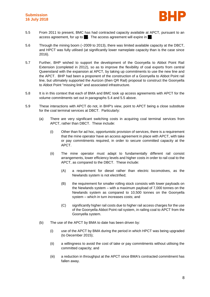

- 5.5 From 2011 to present, BMC has had contracted capacity available at APCT, pursuant to an access agreement, for up to . The access agreement will expire in
- 5.6 Through the mining boom (~2009 to 2013), there was limited available capacity at the DBCT, and HPCT was fully utilised (at significantly lower nameplate capacity than is the case since 2016).
- 5.7 Further, BHP wished to support the development of the Goonyella to Abbot Point Rail Extension (completed in 2012), so as to improve the flexibility of coal exports from central Queensland with the expansion at APCT, by taking up commitments to use the new line and the APCT. BHP had been a proponent of the construction of a Goonyella to Abbot Point rail line, but ultimately supported the Aurizon (then QR Rail) proposal to construct the Goonyella to Abbot Point "missing link" and associated infrastructure.
- 5.8 It is in this context that each of BMA and BMC took up access agreements with APCT for the volume commitments set out in paragraphs 5.4 and 5.5 above.
- 5.9 These interactions with APCT do not, in BHP's view, point to APCT being a close substitute for the coal terminal services at DBCT. Particularly:
	- (a) There are very significant switching costs in acquiring coal terminal services from APCT, rather than DBCT. These include:
		- (i) Other than for ad hoc, opportunistic provision of services, there is a requirement that the mine operator have an access agreement in place with APCT, with take or pay commitments required, in order to secure committed capacity at the APCT.
		- (ii) The mine operator must adapt to fundamentally different rail consist arrangements, lower efficiency levels and higher costs in order to rail coal to the APCT, as compared to the DBCT. These include:
			- (A) a requirement for diesel rather than electric locomotives, as the Newlands system is not electrified;
			- (B) the requirement for smaller rolling stock consists with lower payloads on the Newlands system – with a maximum payload of 7,000 tonnes on the Newlands system as compared to 10,500 tonnes on the Goonyella system – which in turn increases costs; and
			- (C) significantly higher rail costs due to higher rail access charges for the use of the Goonyella Abbot Point rail system, in railing coal to APCT from the Goonyella system.
	- (b) The use of the APCT by BMA to date has been driven by:
		- (i) use of the APCT by BMA during the period in which HPCT was being upgraded (to December 2015);
		- (ii) a willingness to avoid the cost of take or pay commitments without utilising the committed capacity; and
		- (iii) a reduction in throughput at the APCT since BMA's contracted commitment has fallen away.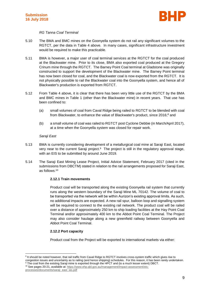

# *RG Tanna Coal Terminal*

- 5.10 The BMA and BMC mines on the Goonyella system do not rail any significant volumes to the RGTCT, per the data in Table 4 above. In many cases, significant infrastructure investment would be required to make this practicable.
- 5.11 BMA is however, a major user of coal terminal services at the RGTCT for the coal produced at the Blackwater mine. Prior to its close, BMA also exported coal produced at the Gregory Crinum mine through the RGTCT. The Barney Point Coal terminal at Gladstone was originally constructed to support the development of the Blackwater mine. The Barney Point terminal has now been closed for coal, and the Blackwater coal is now exported from the RGTCT. It is not physically possible to rail the Blackwater coal into the Goonyella system, and hence all of Blackwater's production is exported from RGTCT.
- 5.12 From Table 4 above, it is clear that there has been very little use of the RGTCT by the BMA and BMC mines in Table 1 (other than the Blackwater mine) in recent years. That use has been confined to:
	- (a) small volumes of coal from Caval Ridge being railed to RGTCT to be blended with coal from Blackwater, to enhance the value of Blackwater's product, since 2016;<sup>8</sup> and
	- (b) a small volume of coal was railed to RGTCT post Cyclone Debbie (in March/April 2017), at a time when the Goonyella system was closed for repair work.

# *Saraji East*

- 5.13 BMA is currently considering development of a metallurgical coal mine at Saraji East, located very near to the current Saraji project.<sup>9</sup> The project is still in the regulatory approval stage, with an EIS to be submitted by around June 2019.
- 5.14 The Saraji East Mining Lease Project, Initial Advice Statement, February 2017 (cited in the submissions from DBCTM) stated in relation to the rail arrangements proposed for Saraji East, as follows:<sup>10</sup>

# **2.12.1 Train movements**

Product coal will be transported along the existing Goonyella rail system that currently runs along the western boundary of the Saraji Mine ML 70142. The volume of coal to be transported via the network will be within Aurizon's existing approval limits. As such, no additional impacts are expected. A new rail spur, balloon loop and signalling system will be required to connect to the existing rail network. The product coal will be railed over a distance of approximately 250 km to ship loading facilities at the Hay Point Coal Terminal and/or approximately 400 km to the Abbot Point Coal Terminal. The Project may also consider haulage along a new greenfield railway between Goonyella and Abbot Point Coal Terminal.

# **2.12.2 Port capacity**

Product coal from the Project will be exported to international markets via either:

<sup>10</sup> See pages 20-21, available at: [https://www.ehp.qld.gov.au/management/impact-assessment/eis-](https://www.ehp.qld.gov.au/management/impact-assessment/eis-processes/documents/saraji_east_ias.pdf)

-

<sup>&</sup>lt;sup>8</sup> It should be noted however, that rail traffic from Caval Ridge to RGTCT involves cross-system traffic which gives rise to congestion issues and uncertainty as to railing (and hence shipping) schedules. For this reason, it has been rarely undertaken. The coal from the existing Saraji mine is exported through the HPCT and (to a much lesser extent) DBCT.

[processes/documents/saraji\\_east\\_ias.pdf](https://www.ehp.qld.gov.au/management/impact-assessment/eis-processes/documents/saraji_east_ias.pdf)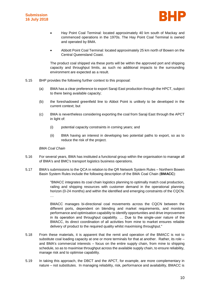



- Hay Point Coal Terminal: located approximately 40 km south of Mackay and commenced operations in the 1970s. The Hay Point Coal Terminal is owned and operated by BMA.
- Abbott Point Coal Terminal: located approximately 25 km north of Bowen on the Central Queensland Coast.

The product coal shipped via these ports will be within the approved port and shipping capacity and throughput limits, as such no additional impacts to the surrounding environment are expected as a result.

- 5.15 BHP provides the following further context to this proposal:
	- (a) BMA has a clear preference to export Saraji East production through the HPCT, subject to there being available capacity;
	- (b) the foreshadowed greenfield line to Abbot Point is unlikely to be developed in the current context; but
	- (c) BMA is nevertheless considering exporting the coal from Saraji East through the APCT in light of:
		- (i) potential capacity constraints in coming years; and
		- (ii) BMA having an interest in developing two potential paths to export, so as to reduce the risk of the project.

# *BMA Coal Chain*

- 5.16 For several years, BMA has instituted a functional group within the organisation to manage all of BMA's and BMC's transport logistics business operations.
- 5.17 BMA's submissions to the QCA in relation to the QR Network System Rules Northern Bowen Basin System Rules include the following description of the BMA Coal Chain (**BMACC**):

"BMACC integrates its coal chain logistics planning to optimally match coal production, railing and shipping resources with customer demand in the operational planning horizon (0-24 months) and within the identified and emerging constraints of the CQCN. …

BMACC manages bi-directional coal movements across the CQCN between the different ports, dependent on blending and market requirements, and monitors performance and optimisation capability to identify opportunities and drive improvement in its operation and throughput capability. … Due to the single-user nature of the BMACC, its direct coordination of all activities from mine to market ensures reliable delivery of product to the required quality whilst maximising throughput."

- 5.18 From these materials, it is apparent that the remit and operation of the BMACC is not to substitute coal loading capacity at one or more terminals for that at another. Rather, its role – and BMA's commercial interests – focus on the entire supply chain, from mine to shipping schedule, so as to maximise throughput across the available supply chain, to ensure reliability, manage risk and to optimise capability.
- 5.19 In taking this approach, the DBCT and the APCT, for example, are more complementary in nature – not substitutes. In managing reliability, risk, performance and availability, BMACC is